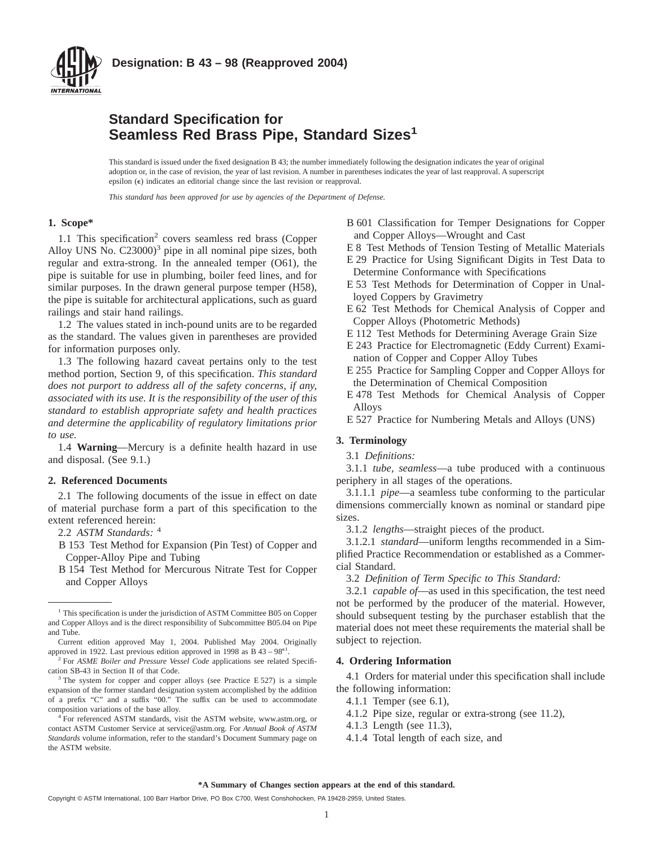

## **Standard Specification for Seamless Red Brass Pipe, Standard Sizes<sup>1</sup>**

This standard is issued under the fixed designation B 43; the number immediately following the designation indicates the year of original adoption or, in the case of revision, the year of last revision. A number in parentheses indicates the year of last reapproval. A superscript epsilon  $(\epsilon)$  indicates an editorial change since the last revision or reapproval.

*This standard has been approved for use by agencies of the Department of Defense.*

#### **1. Scope\***

1.1 This specification<sup>2</sup> covers seamless red brass (Copper Alloy UNS No.  $C23000$ <sup>3</sup> pipe in all nominal pipe sizes, both regular and extra-strong. In the annealed temper (O61), the pipe is suitable for use in plumbing, boiler feed lines, and for similar purposes. In the drawn general purpose temper (H58), the pipe is suitable for architectural applications, such as guard railings and stair hand railings.

1.2 The values stated in inch-pound units are to be regarded as the standard. The values given in parentheses are provided for information purposes only.

1.3 The following hazard caveat pertains only to the test method portion, Section 9, of this specification. *This standard does not purport to address all of the safety concerns, if any, associated with its use. It is the responsibility of the user of this standard to establish appropriate safety and health practices and determine the applicability of regulatory limitations prior to use.*

1.4 **Warning**—Mercury is a definite health hazard in use and disposal. (See 9.1.)

#### **2. Referenced Documents**

2.1 The following documents of the issue in effect on date of material purchase form a part of this specification to the extent referenced herein:

- 2.2 *ASTM Standards:* <sup>4</sup>
- B 153 Test Method for Expansion (Pin Test) of Copper and Copper-Alloy Pipe and Tubing
- B 154 Test Method for Mercurous Nitrate Test for Copper and Copper Alloys

Current edition approved May 1, 2004. Published May 2004. Originally approved in 1922. Last previous edition approved in 1998 as  $B$  43 – 98<sup> $\epsilon$ 1</sup>.

- B 601 Classification for Temper Designations for Copper and Copper Alloys—Wrought and Cast
- E 8 Test Methods of Tension Testing of Metallic Materials
- E 29 Practice for Using Significant Digits in Test Data to Determine Conformance with Specifications
- E 53 Test Methods for Determination of Copper in Unalloyed Coppers by Gravimetry
- E 62 Test Methods for Chemical Analysis of Copper and Copper Alloys (Photometric Methods)
- E 112 Test Methods for Determining Average Grain Size
- E 243 Practice for Electromagnetic (Eddy Current) Examination of Copper and Copper Alloy Tubes
- E 255 Practice for Sampling Copper and Copper Alloys for the Determination of Chemical Composition
- E 478 Test Methods for Chemical Analysis of Copper Alloys
- E 527 Practice for Numbering Metals and Alloys (UNS)

## **3. Terminology**

3.1 *Definitions:*

3.1.1 *tube, seamless*—a tube produced with a continuous periphery in all stages of the operations.

3.1.1.1 *pipe*—a seamless tube conforming to the particular dimensions commercially known as nominal or standard pipe sizes.

3.1.2 *lengths*—straight pieces of the product.

3.1.2.1 *standard*—uniform lengths recommended in a Simplified Practice Recommendation or established as a Commercial Standard.

3.2 *Definition of Term Specific to This Standard:*

3.2.1 *capable of*—as used in this specification, the test need not be performed by the producer of the material. However, should subsequent testing by the purchaser establish that the material does not meet these requirements the material shall be subject to rejection.

#### **4. Ordering Information**

4.1 Orders for material under this specification shall include the following information:

- 4.1.1 Temper (see 6.1),
- 4.1.2 Pipe size, regular or extra-strong (see 11.2),
- 4.1.3 Length (see 11.3),
- 4.1.4 Total length of each size, and

<sup>&</sup>lt;sup>1</sup> This specification is under the jurisdiction of ASTM Committee B05 on Copper and Copper Alloys and is the direct responsibility of Subcommittee B05.04 on Pipe and Tube.

<sup>2</sup> For *ASME Boiler and Pressure Vessel Code* applications see related Specification SB-43 in Section II of that Code.

 $3$  The system for copper and copper alloys (see Practice E 527) is a simple expansion of the former standard designation system accomplished by the addition of a prefix "C" and a suffix "00." The suffix can be used to accommodate composition variations of the base alloy.

<sup>&</sup>lt;sup>4</sup> For referenced ASTM standards, visit the ASTM website, www.astm.org, or contact ASTM Customer Service at service@astm.org. For *Annual Book of ASTM Standards* volume information, refer to the standard's Document Summary page on the ASTM website.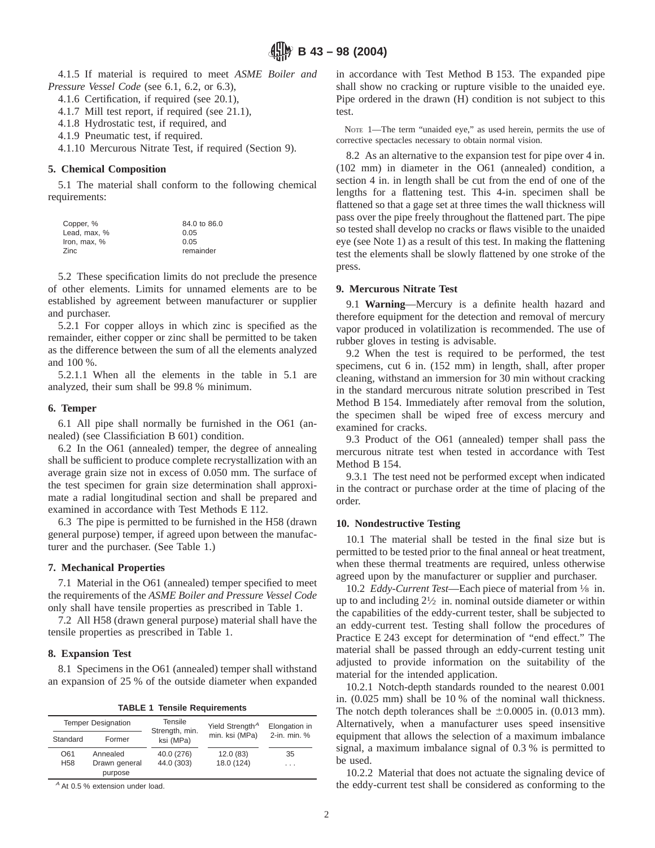4.1.5 If material is required to meet *ASME Boiler and Pressure Vessel Code* (see 6.1, 6.2, or 6.3),

- 4.1.6 Certification, if required (see 20.1),
- 4.1.7 Mill test report, if required (see 21.1),
- 4.1.8 Hydrostatic test, if required, and
- 4.1.9 Pneumatic test, if required.

4.1.10 Mercurous Nitrate Test, if required (Section 9).

## **5. Chemical Composition**

5.1 The material shall conform to the following chemical requirements:

| Copper, %    | 84.0 to 86.0 |
|--------------|--------------|
| Lead, max, % | 0.05         |
| Iron. max. % | 0.05         |
| Zinc         | remainder    |

5.2 These specification limits do not preclude the presence of other elements. Limits for unnamed elements are to be established by agreement between manufacturer or supplier and purchaser.

5.2.1 For copper alloys in which zinc is specified as the remainder, either copper or zinc shall be permitted to be taken as the difference between the sum of all the elements analyzed and 100 %.

5.2.1.1 When all the elements in the table in 5.1 are analyzed, their sum shall be 99.8 % minimum.

#### **6. Temper**

6.1 All pipe shall normally be furnished in the O61 (annealed) (see Classificiation B 601) condition.

6.2 In the O61 (annealed) temper, the degree of annealing shall be sufficient to produce complete recrystallization with an average grain size not in excess of 0.050 mm. The surface of the test specimen for grain size determination shall approximate a radial longitudinal section and shall be prepared and examined in accordance with Test Methods E 112.

6.3 The pipe is permitted to be furnished in the H58 (drawn general purpose) temper, if agreed upon between the manufacturer and the purchaser. (See Table 1.)

#### **7. Mechanical Properties**

7.1 Material in the O61 (annealed) temper specified to meet the requirements of the *ASME Boiler and Pressure Vessel Code* only shall have tensile properties as prescribed in Table 1.

7.2 All H58 (drawn general purpose) material shall have the tensile properties as prescribed in Table 1.

#### **8. Expansion Test**

8.1 Specimens in the O61 (annealed) temper shall withstand an expansion of 25 % of the outside diameter when expanded

**TABLE 1 Tensile Requirements**

| <b>Temper Designation</b> |                          | Tensile<br>Strength, min. | Yield Strength <sup>A</sup> | Elongation in |
|---------------------------|--------------------------|---------------------------|-----------------------------|---------------|
| Standard                  | Former                   | ksi (MPa)                 | min. ksi (MPa)              | 2-in. min. %  |
| O61                       | Annealed                 | 40.0 (276)                | 12.0(83)                    | 35            |
| H <sub>58</sub>           | Drawn general<br>purpose | 44.0 (303)                | 18.0 (124)                  | $\cdots$      |

<sup>A</sup> At 0.5 % extension under load.

in accordance with Test Method B 153. The expanded pipe shall show no cracking or rupture visible to the unaided eye. Pipe ordered in the drawn (H) condition is not subject to this test.

NOTE 1—The term "unaided eye," as used herein, permits the use of corrective spectacles necessary to obtain normal vision.

8.2 As an alternative to the expansion test for pipe over 4 in. (102 mm) in diameter in the O61 (annealed) condition, a section 4 in. in length shall be cut from the end of one of the lengths for a flattening test. This 4-in. specimen shall be flattened so that a gage set at three times the wall thickness will pass over the pipe freely throughout the flattened part. The pipe so tested shall develop no cracks or flaws visible to the unaided eye (see Note 1) as a result of this test. In making the flattening test the elements shall be slowly flattened by one stroke of the press.

#### **9. Mercurous Nitrate Test**

9.1 **Warning**—Mercury is a definite health hazard and therefore equipment for the detection and removal of mercury vapor produced in volatilization is recommended. The use of rubber gloves in testing is advisable.

9.2 When the test is required to be performed, the test specimens, cut 6 in. (152 mm) in length, shall, after proper cleaning, withstand an immersion for 30 min without cracking in the standard mercurous nitrate solution prescribed in Test Method B 154. Immediately after removal from the solution, the specimen shall be wiped free of excess mercury and examined for cracks.

9.3 Product of the O61 (annealed) temper shall pass the mercurous nitrate test when tested in accordance with Test Method B 154.

9.3.1 The test need not be performed except when indicated in the contract or purchase order at the time of placing of the order.

#### **10. Nondestructive Testing**

10.1 The material shall be tested in the final size but is permitted to be tested prior to the final anneal or heat treatment, when these thermal treatments are required, unless otherwise agreed upon by the manufacturer or supplier and purchaser.

10.2 *Eddy-Current Test*—Each piece of material from 1⁄8 in. up to and including  $2\frac{1}{2}$  in. nominal outside diameter or within the capabilities of the eddy-current tester, shall be subjected to an eddy-current test. Testing shall follow the procedures of Practice E 243 except for determination of "end effect." The material shall be passed through an eddy-current testing unit adjusted to provide information on the suitability of the material for the intended application.

10.2.1 Notch-depth standards rounded to the nearest 0.001 in. (0.025 mm) shall be 10 % of the nominal wall thickness. The notch depth tolerances shall be  $\pm 0.0005$  in. (0.013 mm). Alternatively, when a manufacturer uses speed insensitive equipment that allows the selection of a maximum imbalance signal, a maximum imbalance signal of 0.3 % is permitted to be used.

10.2.2 Material that does not actuate the signaling device of the eddy-current test shall be considered as conforming to the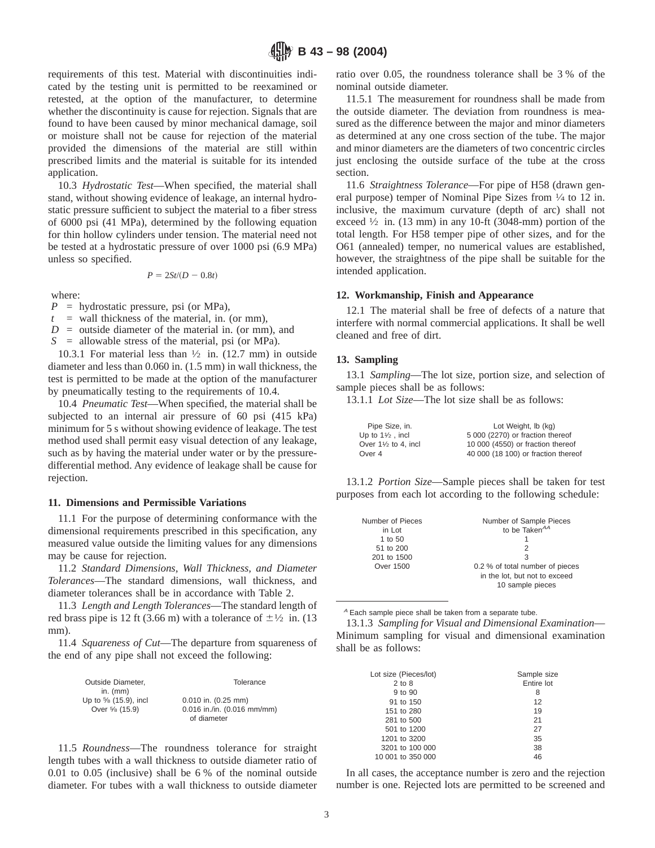requirements of this test. Material with discontinuities indicated by the testing unit is permitted to be reexamined or retested, at the option of the manufacturer, to determine whether the discontinuity is cause for rejection. Signals that are found to have been caused by minor mechanical damage, soil or moisture shall not be cause for rejection of the material provided the dimensions of the material are still within prescribed limits and the material is suitable for its intended application.

10.3 *Hydrostatic Test*—When specified, the material shall stand, without showing evidence of leakage, an internal hydrostatic pressure sufficient to subject the material to a fiber stress of 6000 psi (41 MPa), determined by the following equation for thin hollow cylinders under tension. The material need not be tested at a hydrostatic pressure of over 1000 psi (6.9 MPa) unless so specified.

$$
P=2St/(D-0.8t)
$$

where:

*P* = hydrostatic pressure, psi (or MPa),

 $t =$  wall thickness of the material, in. (or mm),

 $D =$  outside diameter of the material in. (or mm), and

*S* = allowable stress of the material, psi (or MPa).

10.3.1 For material less than  $\frac{1}{2}$  in. (12.7 mm) in outside diameter and less than 0.060 in. (1.5 mm) in wall thickness, the test is permitted to be made at the option of the manufacturer by pneumatically testing to the requirements of 10.4.

10.4 *Pneumatic Test*—When specified, the material shall be subjected to an internal air pressure of 60 psi (415 kPa) minimum for 5 s without showing evidence of leakage. The test method used shall permit easy visual detection of any leakage, such as by having the material under water or by the pressuredifferential method. Any evidence of leakage shall be cause for rejection.

#### **11. Dimensions and Permissible Variations**

11.1 For the purpose of determining conformance with the dimensional requirements prescribed in this specification, any measured value outside the limiting values for any dimensions may be cause for rejection.

11.2 *Standard Dimensions, Wall Thickness, and Diameter Tolerances*—The standard dimensions, wall thickness, and diameter tolerances shall be in accordance with Table 2.

11.3 *Length and Length Tolerances*—The standard length of red brass pipe is 12 ft (3.66 m) with a tolerance of  $\pm$ <sup>1</sup>/<sub>2</sub> in. (13) mm).

11.4 *Squareness of Cut*—The departure from squareness of the end of any pipe shall not exceed the following:

| Outside Diameter.    | Tolerance                   |
|----------------------|-----------------------------|
| in. $(mm)$           |                             |
| Up to % (15.9), incl | $0.010$ in. $(0.25$ mm)     |
| Over 5/8 (15.9)      | 0.016 in./in. (0.016 mm/mm) |
|                      | of diameter                 |

11.5 *Roundness*—The roundness tolerance for straight length tubes with a wall thickness to outside diameter ratio of 0.01 to 0.05 (inclusive) shall be 6 % of the nominal outside diameter. For tubes with a wall thickness to outside diameter ratio over 0.05, the roundness tolerance shall be 3 % of the nominal outside diameter.

11.5.1 The measurement for roundness shall be made from the outside diameter. The deviation from roundness is measured as the difference between the major and minor diameters as determined at any one cross section of the tube. The major and minor diameters are the diameters of two concentric circles just enclosing the outside surface of the tube at the cross section.

11.6 *Straightness Tolerance*—For pipe of H58 (drawn general purpose) temper of Nominal Pipe Sizes from 1⁄4 to 12 in. inclusive, the maximum curvature (depth of arc) shall not exceed  $\frac{1}{2}$  in. (13 mm) in any 10-ft (3048-mm) portion of the total length. For H58 temper pipe of other sizes, and for the O61 (annealed) temper, no numerical values are established, however, the straightness of the pipe shall be suitable for the intended application.

#### **12. Workmanship, Finish and Appearance**

12.1 The material shall be free of defects of a nature that interfere with normal commercial applications. It shall be well cleaned and free of dirt.

## **13. Sampling**

13.1 *Sampling*—The lot size, portion size, and selection of sample pieces shall be as follows:

13.1.1 *Lot Size*—The lot size shall be as follows:

| Pipe Size, in.                 | Lot Weight, Ib (kg)                 |
|--------------------------------|-------------------------------------|
| Up to $1\frac{1}{2}$ , incl    | 5 000 (2270) or fraction thereof    |
| Over $1\frac{1}{2}$ to 4. incl | 10 000 (4550) or fraction thereof   |
| Over 4                         | 40 000 (18 100) or fraction thereof |

13.1.2 *Portion Size*—Sample pieces shall be taken for test purposes from each lot according to the following schedule:

| Number of Pieces | Number of Sample Pieces         |
|------------------|---------------------------------|
| in Lot           | to be Taken <sup>AA</sup>       |
| 1 to 50          |                                 |
| 51 to 200        |                                 |
| 201 to 1500      | 3                               |
| Over 1500        | 0.2 % of total number of pieces |
|                  | in the lot, but not to exceed   |
|                  | 10 sample pieces                |
|                  |                                 |

<sup>A</sup> Each sample piece shall be taken from a separate tube.

13.1.3 *Sampling for Visual and Dimensional Examination*— Minimum sampling for visual and dimensional examination shall be as follows:

| Lot size (Pieces/lot) | Sample size |
|-----------------------|-------------|
| $2$ to $8$            | Entire lot  |
| 9 to 90               | 8           |
| 91 to 150             | 12          |
| 151 to 280            | 19          |
| 281 to 500            | 21          |
| 501 to 1200           | 27          |
| 1201 to 3200          | 35          |
| 3201 to 100 000       | 38          |
| 10 001 to 350 000     | 46          |

In all cases, the acceptance number is zero and the rejection number is one. Rejected lots are permitted to be screened and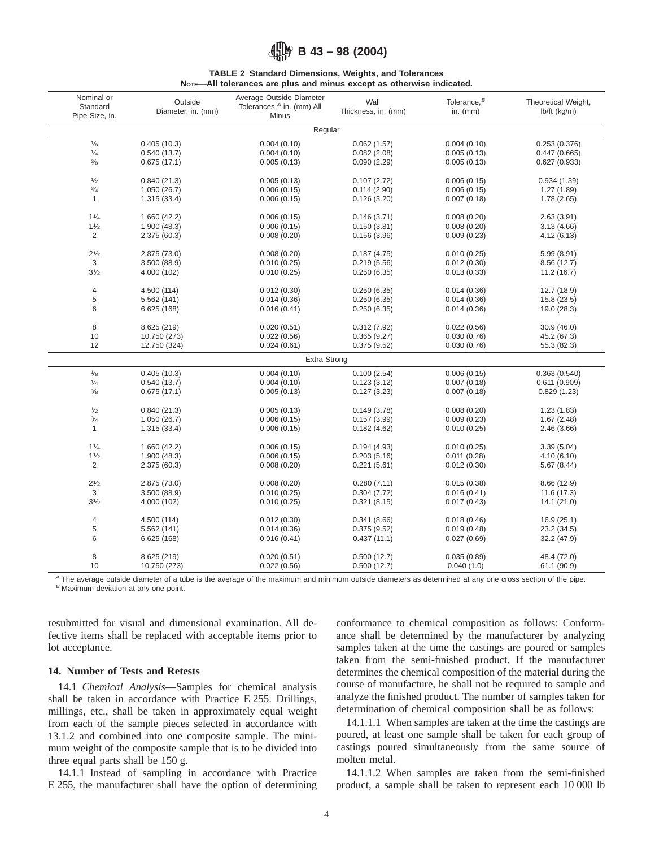# **B 43 – 98 (2004)**

#### **TABLE 2 Standard Dimensions, Weights, and Tolerances NOTE—All tolerances are plus and minus except as otherwise indicated.**

| Nominal or<br>Standard<br>Pipe Size, in. | Outside<br>Diameter, in. (mm) | Average Outside Diameter<br>Tolerances, <sup>A</sup> in. (mm) All<br><b>Minus</b> | Wall<br>Thickness, in. (mm) | Tolerance, <sup>B</sup><br>in. $(mm)$ | Theoretical Weight,<br>$lb/ft$ (kg/m) |
|------------------------------------------|-------------------------------|-----------------------------------------------------------------------------------|-----------------------------|---------------------------------------|---------------------------------------|
|                                          |                               | Regular                                                                           |                             |                                       |                                       |
| $1/8$                                    | 0.405(10.3)                   | 0.004(0.10)                                                                       | 0.062(1.57)                 | 0.004(0.10)                           | 0.253(0.376)                          |
| $\frac{1}{4}$                            | 0.540(13.7)                   | 0.004(0.10)                                                                       | 0.082(2.08)                 | 0.005(0.13)                           | 0.447(0.665)                          |
| $\frac{3}{8}$                            | 0.675(17.1)                   | 0.005(0.13)                                                                       | 0.090(2.29)                 | 0.005(0.13)                           | 0.627(0.933)                          |
| 1/2                                      | 0.840(21.3)                   | 0.005(0.13)                                                                       | 0.107(2.72)                 | 0.006(0.15)                           | 0.934(1.39)                           |
| $\frac{3}{4}$                            | 1.050(26.7)                   | 0.006(0.15)                                                                       | 0.114(2.90)                 | 0.006(0.15)                           | 1.27(1.89)                            |
| $\mathbf{1}$                             | 1.315(33.4)                   | 0.006(0.15)                                                                       | 0.126(3.20)                 | 0.007(0.18)                           | 1.78(2.65)                            |
| 11/4                                     | 1.660(42.2)                   | 0.006(0.15)                                                                       | 0.146(3.71)                 | 0.008(0.20)                           | 2.63(3.91)                            |
| 11/2                                     | 1.900 (48.3)                  | 0.006(0.15)                                                                       | 0.150(3.81)                 | 0.008(0.20)                           | 3.13(4.66)                            |
| $\overline{2}$                           | 2.375 (60.3)                  | 0.008(0.20)                                                                       | 0.156(3.96)                 | 0.009(0.23)                           | 4.12(6.13)                            |
| $2^{1/2}$                                | 2.875 (73.0)                  | 0.008(0.20)                                                                       | 0.187(4.75)                 | 0.010(0.25)                           | 5.99(8.91)                            |
| $\mathsf 3$                              | 3.500 (88.9)                  | 0.010(0.25)                                                                       | 0.219(5.56)                 | 0.012(0.30)                           | 8.56(12.7)                            |
| $3\frac{1}{2}$                           | 4.000 (102)                   | 0.010(0.25)                                                                       | 0.250(6.35)                 | 0.013(0.33)                           | 11.2(16.7)                            |
| $\overline{4}$                           | 4.500 (114)                   | 0.012(0.30)                                                                       | 0.250(6.35)                 | 0.014(0.36)                           | 12.7(18.9)                            |
| 5                                        | 5.562 (141)                   | 0.014(0.36)                                                                       | 0.250(6.35)                 | 0.014(0.36)                           | 15.8(23.5)                            |
| 6                                        | 6.625 (168)                   | 0.016(0.41)                                                                       | 0.250(6.35)                 | 0.014(0.36)                           | 19.0 (28.3)                           |
| 8                                        | 8.625 (219)                   | 0.020(0.51)                                                                       | 0.312(7.92)                 | 0.022(0.56)                           | 30.9(46.0)                            |
| 10                                       | 10.750 (273)                  | 0.022(0.56)                                                                       | 0.365(9.27)                 | 0.030(0.76)                           | 45.2 (67.3)                           |
| 12                                       | 12.750 (324)                  | 0.024(0.61)                                                                       | 0.375(9.52)                 | 0.030(0.76)                           | 55.3 (82.3)                           |
|                                          |                               | <b>Extra Strong</b>                                                               |                             |                                       |                                       |
| $\frac{1}{8}$                            | 0.405(10.3)                   | 0.004(0.10)                                                                       | 0.100(2.54)                 | 0.006(0.15)                           | 0.363(0.540)                          |
| $\frac{1}{4}$                            | 0.540(13.7)                   | 0.004(0.10)                                                                       | 0.123(3.12)                 | 0.007(0.18)                           | 0.611(0.909)                          |
| $\frac{3}{8}$                            | 0.675(17.1)                   | 0.005(0.13)                                                                       | 0.127(3.23)                 | 0.007(0.18)                           | 0.829(1.23)                           |
| $\frac{1}{2}$                            | 0.840(21.3)                   | 0.005(0.13)                                                                       | 0.149(3.78)                 | 0.008(0.20)                           | 1.23(1.83)                            |
| $\frac{3}{4}$                            | 1.050(26.7)                   | 0.006(0.15)                                                                       | 0.157(3.99)                 | 0.009(0.23)                           | 1.67(2.48)                            |
| $\mathbf{1}$                             | 1.315(33.4)                   | 0.006(0.15)                                                                       | 0.182(4.62)                 | 0.010(0.25)                           | 2.46(3.66)                            |
| 11/4                                     | 1.660(42.2)                   | 0.006(0.15)                                                                       | 0.194(4.93)                 | 0.010(0.25)                           | 3.39(5.04)                            |
| 11/2                                     | 1.900(48.3)                   | 0.006(0.15)                                                                       | 0.203(5.16)                 | 0.011(0.28)                           | 4.10(6.10)                            |
| 2                                        | 2.375 (60.3)                  | 0.008(0.20)                                                                       | 0.221(5.61)                 | 0.012(0.30)                           | 5.67(8.44)                            |
| $2^{1/2}$                                | 2.875 (73.0)                  | 0.008(0.20)                                                                       | 0.280(7.11)                 | 0.015(0.38)                           | 8.66(12.9)                            |
| 3                                        | 3.500 (88.9)                  | 0.010(0.25)                                                                       | 0.304(7.72)                 | 0.016(0.41)                           | 11.6(17.3)                            |
| $3\frac{1}{2}$                           | 4.000 (102)                   | 0.010(0.25)                                                                       | 0.321(8.15)                 | 0.017(0.43)                           | 14.1(21.0)                            |
| $\overline{4}$                           | 4.500 (114)                   | 0.012(0.30)                                                                       | 0.341(8.66)                 | 0.018(0.46)                           | 16.9(25.1)                            |
| 5                                        | 5.562 (141)                   | 0.014(0.36)                                                                       | 0.375(9.52)                 | 0.019(0.48)                           | 23.2 (34.5)                           |
| 6                                        | 6.625 (168)                   | 0.016(0.41)                                                                       | 0.437(11.1)                 | 0.027(0.69)                           | 32.2 (47.9)                           |
| 8                                        | 8.625 (219)                   | 0.020(0.51)                                                                       | 0.500(12.7)                 | 0.035(0.89)                           | 48.4 (72.0)                           |
| 10                                       | 10.750 (273)                  | 0.022(0.56)                                                                       | 0.500(12.7)                 | 0.040(1.0)                            | 61.1 (90.9)                           |

<sup>A</sup> The average outside diameter of a tube is the average of the maximum and minimum outside diameters as determined at any one cross section of the pipe.  $B$  Maximum deviation at any one point.

resubmitted for visual and dimensional examination. All defective items shall be replaced with acceptable items prior to lot acceptance.

## **14. Number of Tests and Retests**

14.1 *Chemical Analysis*—Samples for chemical analysis shall be taken in accordance with Practice E 255. Drillings, millings, etc., shall be taken in approximately equal weight from each of the sample pieces selected in accordance with 13.1.2 and combined into one composite sample. The minimum weight of the composite sample that is to be divided into three equal parts shall be 150 g.

14.1.1 Instead of sampling in accordance with Practice E 255, the manufacturer shall have the option of determining conformance to chemical composition as follows: Conformance shall be determined by the manufacturer by analyzing samples taken at the time the castings are poured or samples taken from the semi-finished product. If the manufacturer determines the chemical composition of the material during the course of manufacture, he shall not be required to sample and analyze the finished product. The number of samples taken for determination of chemical composition shall be as follows:

14.1.1.1 When samples are taken at the time the castings are poured, at least one sample shall be taken for each group of castings poured simultaneously from the same source of molten metal.

14.1.1.2 When samples are taken from the semi-finished product, a sample shall be taken to represent each 10 000 lb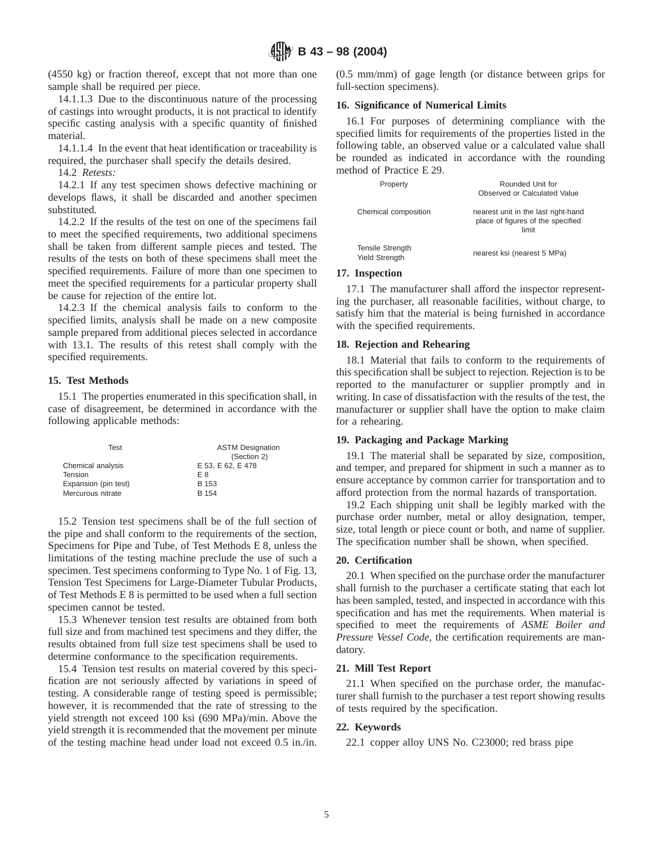(4550 kg) or fraction thereof, except that not more than one sample shall be required per piece.

14.1.1.3 Due to the discontinuous nature of the processing of castings into wrought products, it is not practical to identify specific casting analysis with a specific quantity of finished material.

14.1.1.4 In the event that heat identification or traceability is required, the purchaser shall specify the details desired.

14.2 *Retests:*

14.2.1 If any test specimen shows defective machining or develops flaws, it shall be discarded and another specimen substituted.

14.2.2 If the results of the test on one of the specimens fail to meet the specified requirements, two additional specimens shall be taken from different sample pieces and tested. The results of the tests on both of these specimens shall meet the specified requirements. Failure of more than one specimen to meet the specified requirements for a particular property shall be cause for rejection of the entire lot.

14.2.3 If the chemical analysis fails to conform to the specified limits, analysis shall be made on a new composite sample prepared from additional pieces selected in accordance with 13.1. The results of this retest shall comply with the specified requirements.

## **15. Test Methods**

15.1 The properties enumerated in this specification shall, in case of disagreement, be determined in accordance with the following applicable methods:

| Test                 | <b>ASTM Designation</b><br>(Section 2) |
|----------------------|----------------------------------------|
| Chemical analysis    | E 53, E 62, E 478                      |
| Tension              | F 8                                    |
| Expansion (pin test) | B 153                                  |
| Mercurous nitrate    | B 154                                  |

15.2 Tension test specimens shall be of the full section of the pipe and shall conform to the requirements of the section, Specimens for Pipe and Tube, of Test Methods E 8, unless the limitations of the testing machine preclude the use of such a specimen. Test specimens conforming to Type No. 1 of Fig. 13, Tension Test Specimens for Large-Diameter Tubular Products, of Test Methods E 8 is permitted to be used when a full section specimen cannot be tested.

15.3 Whenever tension test results are obtained from both full size and from machined test specimens and they differ, the results obtained from full size test specimens shall be used to determine conformance to the specification requirements.

15.4 Tension test results on material covered by this specification are not seriously affected by variations in speed of testing. A considerable range of testing speed is permissible; however, it is recommended that the rate of stressing to the yield strength not exceed 100 ksi (690 MPa)/min. Above the yield strength it is recommended that the movement per minute of the testing machine head under load not exceed 0.5 in./in. (0.5 mm/mm) of gage length (or distance between grips for full-section specimens).

### **16. Significance of Numerical Limits**

16.1 For purposes of determining compliance with the specified limits for requirements of the properties listed in the following table, an observed value or a calculated value shall be rounded as indicated in accordance with the rounding method of Practice E 29.

| Property                                         | Rounded Unit for<br>Observed or Calculated Value                                  |
|--------------------------------------------------|-----------------------------------------------------------------------------------|
| Chemical composition                             | nearest unit in the last right-hand<br>place of figures of the specified<br>limit |
| <b>Tensile Strength</b><br><b>Yield Strenath</b> | nearest ksi (nearest 5 MPa)                                                       |

## **17. Inspection**

17.1 The manufacturer shall afford the inspector representing the purchaser, all reasonable facilities, without charge, to satisfy him that the material is being furnished in accordance with the specified requirements.

## **18. Rejection and Rehearing**

18.1 Material that fails to conform to the requirements of this specification shall be subject to rejection. Rejection is to be reported to the manufacturer or supplier promptly and in writing. In case of dissatisfaction with the results of the test, the manufacturer or supplier shall have the option to make claim for a rehearing.

## **19. Packaging and Package Marking**

19.1 The material shall be separated by size, composition, and temper, and prepared for shipment in such a manner as to ensure acceptance by common carrier for transportation and to afford protection from the normal hazards of transportation.

19.2 Each shipping unit shall be legibly marked with the purchase order number, metal or alloy designation, temper, size, total length or piece count or both, and name of supplier. The specification number shall be shown, when specified.

## **20. Certification**

20.1 When specified on the purchase order the manufacturer shall furnish to the purchaser a certificate stating that each lot has been sampled, tested, and inspected in accordance with this specification and has met the requirements. When material is specified to meet the requirements of *ASME Boiler and Pressure Vessel Code*, the certification requirements are mandatory.

## **21. Mill Test Report**

21.1 When specified on the purchase order, the manufacturer shall furnish to the purchaser a test report showing results of tests required by the specification.

## **22. Keywords**

22.1 copper alloy UNS No. C23000; red brass pipe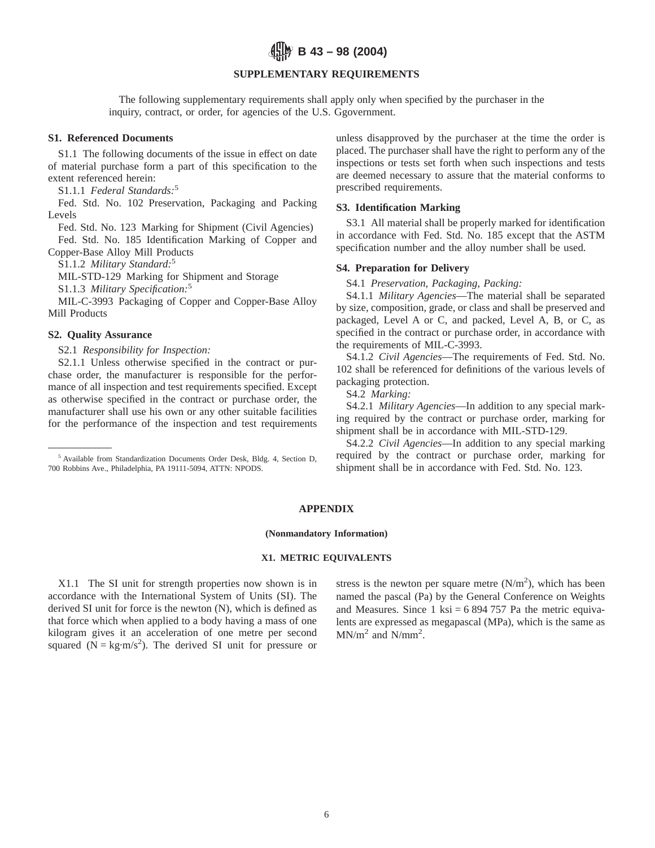**B 43 – 98 (2004)**

## **SUPPLEMENTARY REQUIREMENTS**

The following supplementary requirements shall apply only when specified by the purchaser in the inquiry, contract, or order, for agencies of the U.S. Ggovernment.

#### **S1. Referenced Documents**

S1.1 The following documents of the issue in effect on date of material purchase form a part of this specification to the extent referenced herein:

S1.1.1 *Federal Standards:*<sup>5</sup>

Fed. Std. No. 102 Preservation, Packaging and Packing Levels

Fed. Std. No. 123 Marking for Shipment (Civil Agencies) Fed. Std. No. 185 Identification Marking of Copper and Copper-Base Alloy Mill Products

S1.1.2 *Military Standard:*<sup>5</sup>

MIL-STD-129 Marking for Shipment and Storage

S1.1.3 *Military Specification:*<sup>5</sup>

MIL-C-3993 Packaging of Copper and Copper-Base Alloy Mill Products

#### **S2. Quality Assurance**

S2.1 *Responsibility for Inspection:*

S2.1.1 Unless otherwise specified in the contract or purchase order, the manufacturer is responsible for the performance of all inspection and test requirements specified. Except as otherwise specified in the contract or purchase order, the manufacturer shall use his own or any other suitable facilities for the performance of the inspection and test requirements unless disapproved by the purchaser at the time the order is placed. The purchaser shall have the right to perform any of the inspections or tests set forth when such inspections and tests are deemed necessary to assure that the material conforms to prescribed requirements.

#### **S3. Identification Marking**

S3.1 All material shall be properly marked for identification in accordance with Fed. Std. No. 185 except that the ASTM specification number and the alloy number shall be used.

## **S4. Preparation for Delivery**

S4.1 *Preservation, Packaging, Packing:*

S4.1.1 *Military Agencies*—The material shall be separated by size, composition, grade, or class and shall be preserved and packaged, Level A or C, and packed, Level A, B, or C, as specified in the contract or purchase order, in accordance with the requirements of MIL-C-3993.

S4.1.2 *Civil Agencies*—The requirements of Fed. Std. No. 102 shall be referenced for definitions of the various levels of packaging protection.

S4.2 *Marking:*

S4.2.1 *Military Agencies*—In addition to any special marking required by the contract or purchase order, marking for shipment shall be in accordance with MIL-STD-129.

S4.2.2 *Civil Agencies*—In addition to any special marking required by the contract or purchase order, marking for shipment shall be in accordance with Fed. Std. No. 123.

#### **APPENDIX**

#### **(Nonmandatory Information)**

### **X1. METRIC EQUIVALENTS**

X1.1 The SI unit for strength properties now shown is in accordance with the International System of Units (SI). The derived SI unit for force is the newton (N), which is defined as that force which when applied to a body having a mass of one kilogram gives it an acceleration of one metre per second squared  $(N = kg·m/s<sup>2</sup>)$ . The derived SI unit for pressure or

stress is the newton per square metre  $(N/m<sup>2</sup>)$ , which has been named the pascal (Pa) by the General Conference on Weights and Measures. Since 1 ksi =  $6894757$  Pa the metric equivalents are expressed as megapascal (MPa), which is the same as  $MN/m<sup>2</sup>$  and  $N/mm<sup>2</sup>$ .

<sup>5</sup> Available from Standardization Documents Order Desk, Bldg. 4, Section D, 700 Robbins Ave., Philadelphia, PA 19111-5094, ATTN: NPODS.